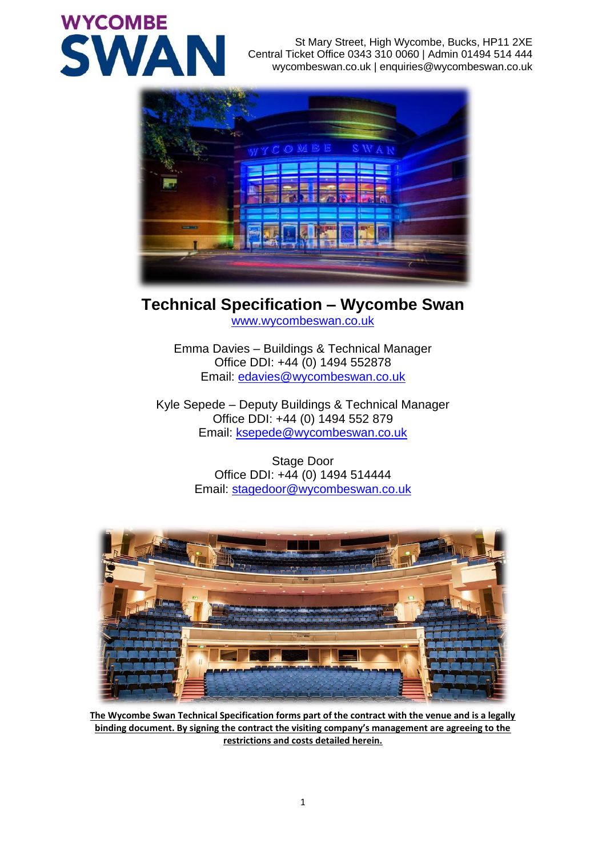# **WYCOMBE SWA**

St Mary Street, High Wycombe, Bucks, HP11 2XE Central Ticket Office 0343 310 0060 | Admin 01494 514 444 wycombeswan.co.uk | enquiries@wycombeswan.co.uk



# **Technical Specification – Wycombe Swan**

[www.wycombeswan.co.uk](http://www.wycombeswan.co.uk/)

Emma Davies – Buildings & Technical Manager Office DDI: +44 (0) 1494 552878 Email: [edavies@wycombeswan.co.uk](mailto:edavies@wycombeswan.co.uk)

Kyle Sepede – Deputy Buildings & Technical Manager Office DDI: +44 (0) 1494 552 879 Email: [ksepede@wycombeswan.co.uk](mailto:ksepede@wycombeswan.co.uk)

> Stage Door Office DDI: +44 (0) 1494 514444 Email: [stagedoor@wycombeswan.co.uk](mailto:stagedoor@wycombeswan.co.uk)



**The Wycombe Swan Technical Specification forms part of the contract with the venue and is a legally binding document. By signing the contract the visiting company's management are agreeing to the restrictions and costs detailed herein.**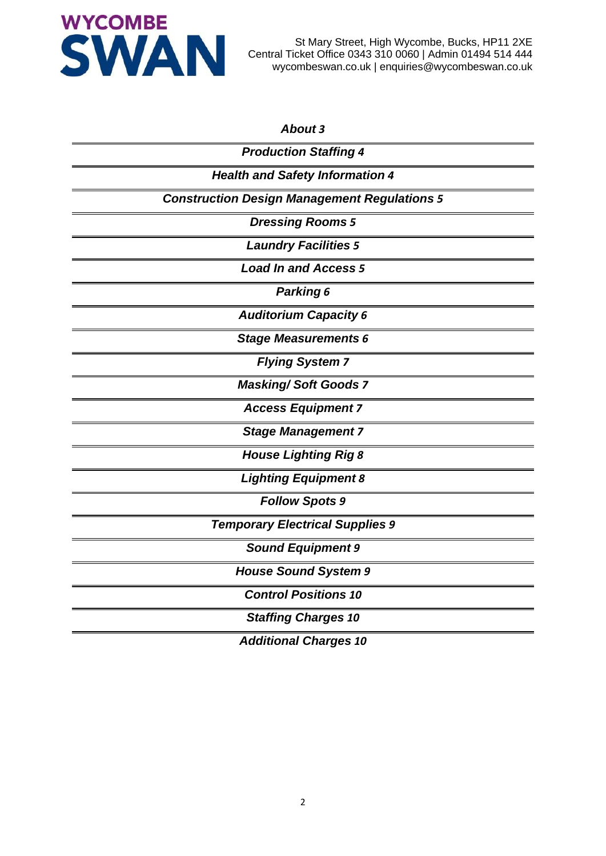

#### *[About](#page-2-0) [3](#page-2-0)*

| <b>Production Staffing 4</b>                        |
|-----------------------------------------------------|
| <b>Health and Safety Information 4</b>              |
| <b>Construction Design Management Regulations 5</b> |
| <b>Dressing Rooms 5</b>                             |
| <b>Laundry Facilities 5</b>                         |
| <b>Load In and Access 5</b>                         |
| Parking 6                                           |
| <b>Auditorium Capacity 6</b>                        |
| <b>Stage Measurements 6</b>                         |
| <b>Flying System 7</b>                              |
| <b>Masking/Soft Goods 7</b>                         |
| <b>Access Equipment 7</b>                           |
| <b>Stage Management 7</b>                           |
| <b>House Lighting Rig 8</b>                         |
| <b>Lighting Equipment 8</b>                         |
| <b>Follow Spots 9</b>                               |
| <b>Temporary Electrical Supplies 9</b>              |
| <b>Sound Equipment 9</b>                            |
| <b>House Sound System 9</b>                         |
| <b>Control Positions 10</b>                         |
| <b>Staffing Charges 10</b>                          |
| <b>Additional Charges 10</b>                        |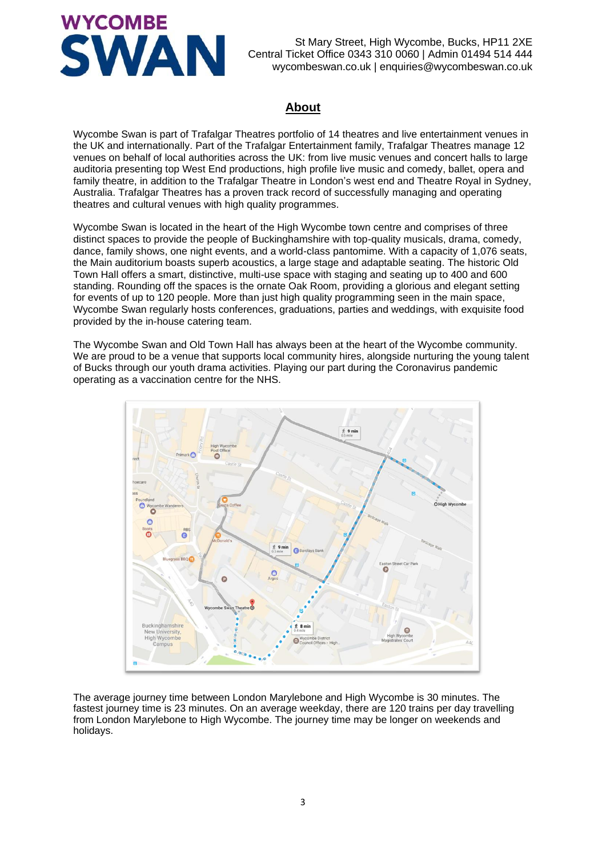

#### **About**

<span id="page-2-0"></span>Wycombe Swan is part of Trafalgar Theatres portfolio of 14 theatres and live entertainment venues in the UK and internationally. Part of the Trafalgar Entertainment family, Trafalgar Theatres manage 12 venues on behalf of local authorities across the UK: from live music venues and concert halls to large auditoria presenting top West End productions, high profile live music and comedy, ballet, opera and family theatre, in addition to the Trafalgar Theatre in London's west end and Theatre Royal in Sydney, Australia. Trafalgar Theatres has a proven track record of successfully managing and operating theatres and cultural venues with high quality programmes.

Wycombe Swan is located in the heart of the High Wycombe town centre and comprises of three distinct spaces to provide the people of Buckinghamshire with top-quality musicals, drama, comedy, dance, family shows, one night events, and a world-class pantomime. With a capacity of 1,076 seats, the Main auditorium boasts superb acoustics, a large stage and adaptable seating. The historic Old Town Hall offers a smart, distinctive, multi-use space with staging and seating up to 400 and 600 standing. Rounding off the spaces is the ornate Oak Room, providing a glorious and elegant setting for events of up to 120 people. More than just high quality programming seen in the main space, Wycombe Swan regularly hosts conferences, graduations, parties and weddings, with exquisite food provided by the in-house catering team.

The Wycombe Swan and Old Town Hall has always been at the heart of the Wycombe community. We are proud to be a venue that supports local community hires, alongside nurturing the young talent of Bucks through our youth drama activities. Playing our part during the Coronavirus pandemic operating as a vaccination centre for the NHS.



The average journey time between London Marylebone and High Wycombe is 30 minutes. The fastest journey time is 23 minutes. On an average weekday, there are 120 trains per day travelling from London Marylebone to High Wycombe. The journey time may be longer on weekends and holidays.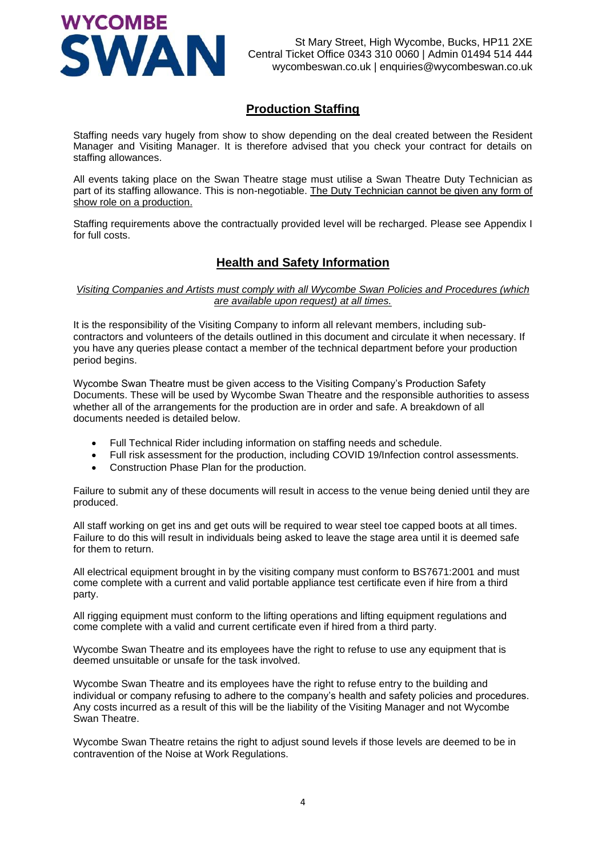

#### **Production Staffing**

<span id="page-3-0"></span>Staffing needs vary hugely from show to show depending on the deal created between the Resident Manager and Visiting Manager. It is therefore advised that you check your contract for details on staffing allowances.

All events taking place on the Swan Theatre stage must utilise a Swan Theatre Duty Technician as part of its staffing allowance. This is non-negotiable. The Duty Technician cannot be given any form of show role on a production.

<span id="page-3-1"></span>Staffing requirements above the contractually provided level will be recharged. Please see Appendix I for full costs.

## **Health and Safety Information**

*Visiting Companies and Artists must comply with all Wycombe Swan Policies and Procedures (which are available upon request) at all times.*

It is the responsibility of the Visiting Company to inform all relevant members, including subcontractors and volunteers of the details outlined in this document and circulate it when necessary. If you have any queries please contact a member of the technical department before your production period begins.

Wycombe Swan Theatre must be given access to the Visiting Company's Production Safety Documents. These will be used by Wycombe Swan Theatre and the responsible authorities to assess whether all of the arrangements for the production are in order and safe. A breakdown of all documents needed is detailed below.

- Full Technical Rider including information on staffing needs and schedule.
- Full risk assessment for the production, including COVID 19/Infection control assessments.
- Construction Phase Plan for the production.

Failure to submit any of these documents will result in access to the venue being denied until they are produced.

All staff working on get ins and get outs will be required to wear steel toe capped boots at all times. Failure to do this will result in individuals being asked to leave the stage area until it is deemed safe for them to return.

All electrical equipment brought in by the visiting company must conform to BS7671:2001 and must come complete with a current and valid portable appliance test certificate even if hire from a third party.

All rigging equipment must conform to the lifting operations and lifting equipment regulations and come complete with a valid and current certificate even if hired from a third party.

Wycombe Swan Theatre and its employees have the right to refuse to use any equipment that is deemed unsuitable or unsafe for the task involved.

Wycombe Swan Theatre and its employees have the right to refuse entry to the building and individual or company refusing to adhere to the company's health and safety policies and procedures. Any costs incurred as a result of this will be the liability of the Visiting Manager and not Wycombe Swan Theatre.

Wycombe Swan Theatre retains the right to adjust sound levels if those levels are deemed to be in contravention of the Noise at Work Regulations.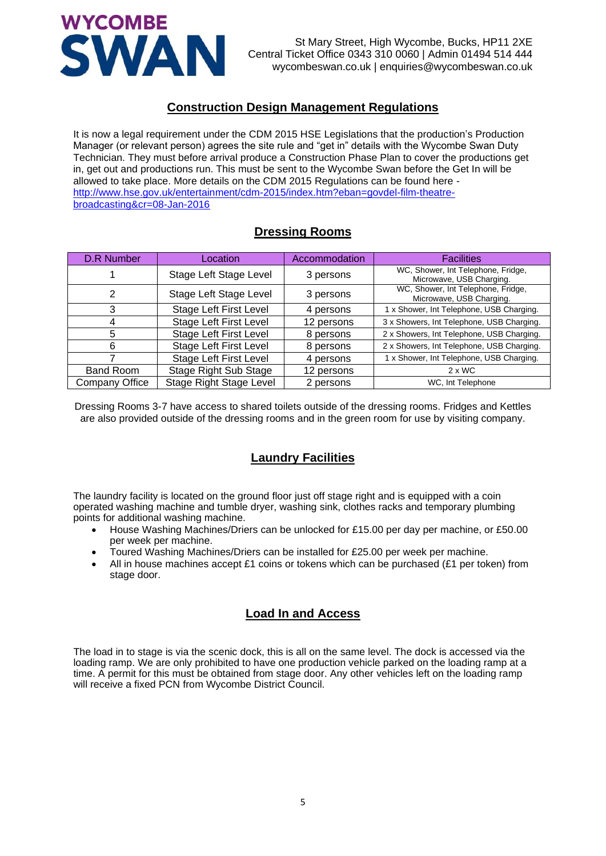

#### **Construction Design Management Regulations**

<span id="page-4-0"></span>It is now a legal requirement under the CDM 2015 HSE Legislations that the production's Production Manager (or relevant person) agrees the site rule and "get in" details with the Wycombe Swan Duty Technician. They must before arrival produce a Construction Phase Plan to cover the productions get in, get out and productions run. This must be sent to the Wycombe Swan before the Get In will be allowed to take place. More details on the CDM 2015 Regulations can be found here [http://www.hse.gov.uk/entertainment/cdm-2015/index.htm?eban=govdel-film-theatre](http://www.hse.gov.uk/entertainment/cdm-2015/index.htm?eban=govdel-film-theatre-broadcasting&cr=08-Jan-2016)[broadcasting&cr=08-Jan-2016](http://www.hse.gov.uk/entertainment/cdm-2015/index.htm?eban=govdel-film-theatre-broadcasting&cr=08-Jan-2016)

# **Dressing Rooms**

<span id="page-4-1"></span>

| <b>D.R Number</b> | Location                       | Accommodation | <b>Facilities</b>                                              |
|-------------------|--------------------------------|---------------|----------------------------------------------------------------|
|                   | Stage Left Stage Level         | 3 persons     | WC, Shower, Int Telephone, Fridge,<br>Microwave, USB Charging. |
| 2                 | Stage Left Stage Level         | 3 persons     | WC, Shower, Int Telephone, Fridge,<br>Microwave, USB Charging. |
| 3                 | <b>Stage Left First Level</b>  | 4 persons     | 1 x Shower, Int Telephone, USB Charging.                       |
|                   | <b>Stage Left First Level</b>  | 12 persons    | 3 x Showers, Int Telephone, USB Charging.                      |
| 5                 | <b>Stage Left First Level</b>  | 8 persons     | 2 x Showers, Int Telephone, USB Charging.                      |
| 6                 | <b>Stage Left First Level</b>  | 8 persons     | 2 x Showers, Int Telephone, USB Charging.                      |
|                   | <b>Stage Left First Level</b>  | 4 persons     | 1 x Shower, Int Telephone, USB Charging.                       |
| <b>Band Room</b>  | <b>Stage Right Sub Stage</b>   | 12 persons    | $2 \times WC$                                                  |
| Company Office    | <b>Stage Right Stage Level</b> | 2 persons     | WC, Int Telephone                                              |

<span id="page-4-2"></span>Dressing Rooms 3-7 have access to shared toilets outside of the dressing rooms. Fridges and Kettles are also provided outside of the dressing rooms and in the green room for use by visiting company.

# **Laundry Facilities**

The laundry facility is located on the ground floor just off stage right and is equipped with a coin operated washing machine and tumble dryer, washing sink, clothes racks and temporary plumbing points for additional washing machine.

- House Washing Machines/Driers can be unlocked for £15.00 per day per machine, or £50.00 per week per machine.
- Toured Washing Machines/Driers can be installed for £25.00 per week per machine.
- <span id="page-4-3"></span>All in house machines accept £1 coins or tokens which can be purchased (£1 per token) from stage door.

#### **Load In and Access**

The load in to stage is via the scenic dock, this is all on the same level. The dock is accessed via the loading ramp. We are only prohibited to have one production vehicle parked on the loading ramp at a time. A permit for this must be obtained from stage door. Any other vehicles left on the loading ramp will receive a fixed PCN from Wycombe District Council.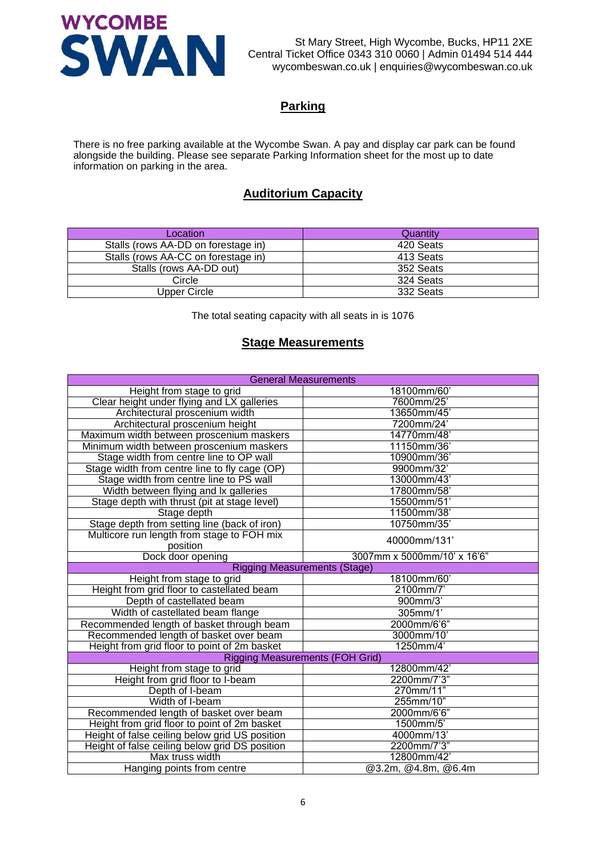

# **Parking**

<span id="page-5-1"></span><span id="page-5-0"></span>There is no free parking available at the Wycombe Swan. A pay and display car park can be found alongside the building. Please see separate Parking Information sheet for the most up to date information on parking in the area.

# **Auditorium Capacity**

| Location                            | Quantity  |
|-------------------------------------|-----------|
| Stalls (rows AA-DD on forestage in) | 420 Seats |
| Stalls (rows AA-CC on forestage in) | 413 Seats |
| Stalls (rows AA-DD out)             | 352 Seats |
| Circle                              | 324 Seats |
| Upper Circle                        | 332 Seats |

The total seating capacity with all seats in is 1076

#### **Stage Measurements**

<span id="page-5-2"></span>

| <b>General Measurements</b>                            |                                        |  |  |
|--------------------------------------------------------|----------------------------------------|--|--|
| Height from stage to grid                              | 18100mm/60'                            |  |  |
| Clear height under flying and LX galleries             | 7600mm/25'                             |  |  |
| Architectural proscenium width                         | 13650mm/45'                            |  |  |
| Architectural proscenium height                        | 7200mm/24'                             |  |  |
| Maximum width between proscenium maskers               | 14770mm/48'                            |  |  |
| Minimum width between proscenium maskers               | 11150mm/36'                            |  |  |
| Stage width from centre line to OP wall                | 10900mm/36'                            |  |  |
| Stage width from centre line to fly cage (OP)          | 9900mm/32'                             |  |  |
| Stage width from centre line to PS wall                | 13000mm/43'                            |  |  |
| Width between flying and lx galleries                  | 17800mm/58'                            |  |  |
| Stage depth with thrust (pit at stage level)           | 15500mm/51'                            |  |  |
| Stage depth                                            | 11500mm/38'                            |  |  |
| Stage depth from setting line (back of iron)           | 10750mm/35'                            |  |  |
| Multicore run length from stage to FOH mix<br>position | 40000mm/131                            |  |  |
| Dock door opening                                      | 3007mm x 5000mm/10' x 16'6"            |  |  |
| <b>Rigging Measurements (Stage)</b>                    |                                        |  |  |
| Height from stage to grid                              | 18100mm/60'                            |  |  |
| Height from grid floor to castellated beam             | 2100mm/7                               |  |  |
| Depth of castellated beam                              | 900mm/3'                               |  |  |
| Width of castellated beam flange                       | 305mm/1'                               |  |  |
| Recommended length of basket through beam              | 2000mm/6'6"                            |  |  |
| Recommended length of basket over beam                 | 3000mm/10'                             |  |  |
| Height from grid floor to point of 2m basket           | 1250mm/4'                              |  |  |
|                                                        | <b>Rigging Measurements (FOH Grid)</b> |  |  |
| Height from stage to grid                              | 12800mm/42'                            |  |  |
| Height from grid floor to I-beam                       | 2200mm/7'3"                            |  |  |
| Depth of I-beam                                        | 270mm/11"                              |  |  |
| Width of I-beam                                        | 255mm/10"                              |  |  |
| Recommended length of basket over beam                 | 2000mm/6'6"                            |  |  |
| Height from grid floor to point of 2m basket           | 1500mm/5'                              |  |  |
| Height of false ceiling below grid US position         | 4000mm/13'                             |  |  |
| Height of false ceiling below grid DS position         | 2200mm/7'3"                            |  |  |
| Max truss width                                        | 12800mm/42'                            |  |  |
| Hanging points from centre                             | @3.2m, @4.8m, @6.4m                    |  |  |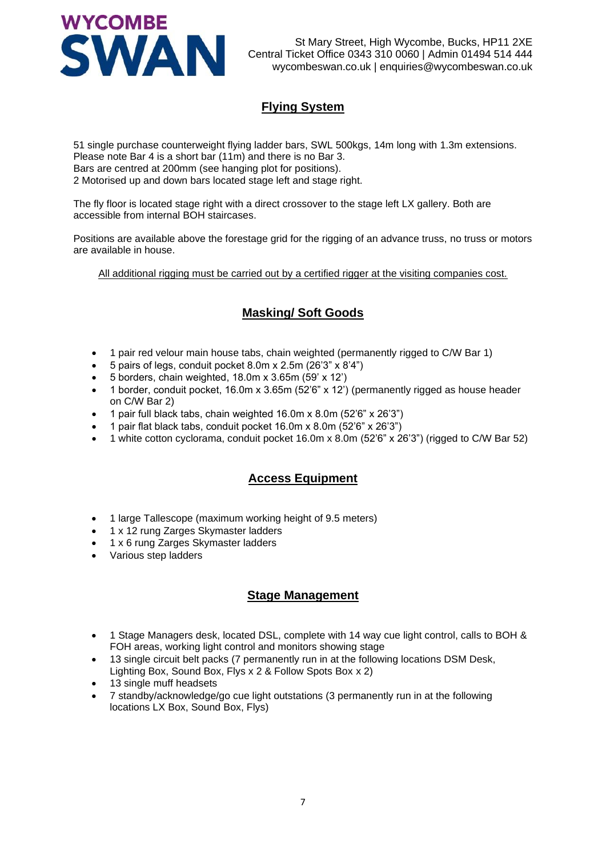

# **Flying System**

<span id="page-6-0"></span>51 single purchase counterweight flying ladder bars, SWL 500kgs, 14m long with 1.3m extensions. Please note Bar 4 is a short bar (11m) and there is no Bar 3. Bars are centred at 200mm (see hanging plot for positions). 2 Motorised up and down bars located stage left and stage right.

The fly floor is located stage right with a direct crossover to the stage left LX gallery. Both are accessible from internal BOH staircases.

Positions are available above the forestage grid for the rigging of an advance truss, no truss or motors are available in house.

<span id="page-6-1"></span>All additional rigging must be carried out by a certified rigger at the visiting companies cost.

## **Masking/ Soft Goods**

- 1 pair red velour main house tabs, chain weighted (permanently rigged to C/W Bar 1)
- 5 pairs of legs, conduit pocket 8.0m x 2.5m (26'3" x 8'4")
- 5 borders, chain weighted, 18.0m x 3.65m (59' x 12')
- 1 border, conduit pocket, 16.0m x 3.65m (52'6" x 12') (permanently rigged as house header on C/W Bar 2)
- 1 pair full black tabs, chain weighted 16.0m x 8.0m (52'6" x 26'3")
- 1 pair flat black tabs, conduit pocket 16.0m x 8.0m (52'6" x 26'3")
- <span id="page-6-2"></span>• 1 white cotton cyclorama, conduit pocket 16.0m x 8.0m (52'6" x 26'3") (rigged to C/W Bar 52)

## **Access Equipment**

- 1 large Tallescope (maximum working height of 9.5 meters)
- 1 x 12 rung Zarges Skymaster ladders
- 1 x 6 rung Zarges Skymaster ladders
- <span id="page-6-3"></span>• Various step ladders

#### **Stage Management**

- 1 Stage Managers desk, located DSL, complete with 14 way cue light control, calls to BOH & FOH areas, working light control and monitors showing stage
- 13 single circuit belt packs (7 permanently run in at the following locations DSM Desk, Lighting Box, Sound Box, Flys x 2 & Follow Spots Box x 2)
- 13 single muff headsets
- 7 standby/acknowledge/go cue light outstations (3 permanently run in at the following locations LX Box, Sound Box, Flys)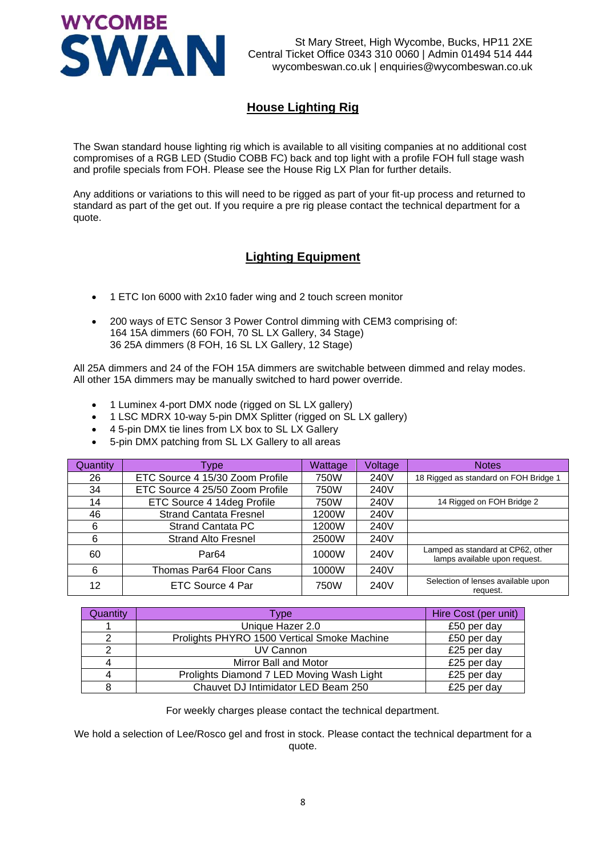

# **House Lighting Rig**

<span id="page-7-0"></span>The Swan standard house lighting rig which is available to all visiting companies at no additional cost compromises of a RGB LED (Studio COBB FC) back and top light with a profile FOH full stage wash and profile specials from FOH. Please see the House Rig LX Plan for further details.

<span id="page-7-1"></span>Any additions or variations to this will need to be rigged as part of your fit-up process and returned to standard as part of the get out. If you require a pre rig please contact the technical department for a quote.

## **Lighting Equipment**

- 1 ETC Ion 6000 with 2x10 fader wing and 2 touch screen monitor
- 200 ways of ETC Sensor 3 Power Control dimming with CEM3 comprising of: 164 15A dimmers (60 FOH, 70 SL LX Gallery, 34 Stage) 36 25A dimmers (8 FOH, 16 SL LX Gallery, 12 Stage)

All 25A dimmers and 24 of the FOH 15A dimmers are switchable between dimmed and relay modes. All other 15A dimmers may be manually switched to hard power override.

- 1 Luminex 4-port DMX node (rigged on SL LX gallery)
- 1 LSC MDRX 10-way 5-pin DMX Splitter (rigged on SL LX gallery)
- 4 5-pin DMX tie lines from LX box to SL LX Gallery
- 5-pin DMX patching from SL LX Gallery to all areas

| Quantity | <b>VDe</b>                      | <b>Wattage</b> | <b>Voltage</b> | <b>Notes</b>                                                       |
|----------|---------------------------------|----------------|----------------|--------------------------------------------------------------------|
| 26       | ETC Source 4 15/30 Zoom Profile | 750W           | 240V           | 18 Rigged as standard on FOH Bridge 1                              |
| 34       | ETC Source 4 25/50 Zoom Profile | 750W           | 240V           |                                                                    |
| 14       | ETC Source 4 14deg Profile      | 750W           | 240V           | 14 Rigged on FOH Bridge 2                                          |
| 46       | <b>Strand Cantata Fresnel</b>   | 1200W          | 240V           |                                                                    |
| 6        | <b>Strand Cantata PC</b>        | 1200W          | 240V           |                                                                    |
| 6        | <b>Strand Alto Fresnel</b>      | 2500W          | 240V           |                                                                    |
| 60       | Par <sub>64</sub>               | 1000W          | 240V           | Lamped as standard at CP62, other<br>lamps available upon request. |
| 6        | Thomas Par64 Floor Cans         | 1000W          | 240V           |                                                                    |
| 12       | ETC Source 4 Par                | 750W           | 240V           | Selection of lenses available upon<br>request.                     |

| Quantity | <b>Type</b>                                 | Hire Cost (per unit) |
|----------|---------------------------------------------|----------------------|
|          | Unique Hazer 2.0                            | £50 per day          |
|          | Prolights PHYRO 1500 Vertical Smoke Machine | £50 per day          |
| 2        | UV Cannon                                   | £25 per day          |
| 4        | Mirror Ball and Motor                       | £25 per day          |
| 4        | Prolights Diamond 7 LED Moving Wash Light   | £25 per day          |
| 8        | Chauvet DJ Intimidator LED Beam 250         | £25 per day          |

For weekly charges please contact the technical department.

We hold a selection of Lee/Rosco gel and frost in stock. Please contact the technical department for a quote.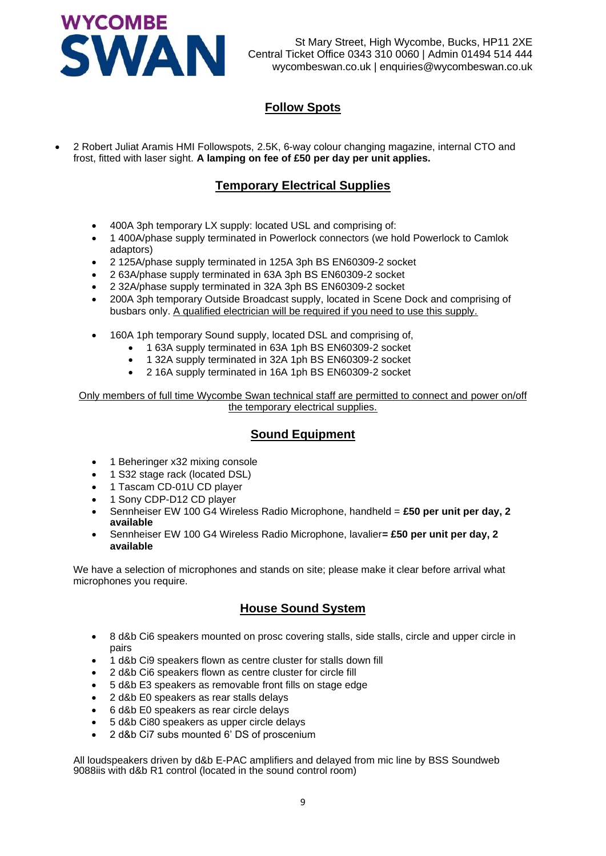

# **Follow Spots**

<span id="page-8-1"></span><span id="page-8-0"></span>• 2 Robert Juliat Aramis HMI Followspots, 2.5K, 6-way colour changing magazine, internal CTO and frost, fitted with laser sight. **A lamping on fee of £50 per day per unit applies.**

## **Temporary Electrical Supplies**

- 400A 3ph temporary LX supply: located USL and comprising of:
- 1 400A/phase supply terminated in Powerlock connectors (we hold Powerlock to Camlok adaptors)
- 2 125A/phase supply terminated in 125A 3ph BS EN60309-2 socket
- 2 63A/phase supply terminated in 63A 3ph BS EN60309-2 socket
- 2 32A/phase supply terminated in 32A 3ph BS EN60309-2 socket
- 200A 3ph temporary Outside Broadcast supply, located in Scene Dock and comprising of busbars only. A qualified electrician will be required if you need to use this supply.
- 160A 1ph temporary Sound supply, located DSL and comprising of,
	- 1 63A supply terminated in 63A 1ph BS EN60309-2 socket
	- 1 32A supply terminated in 32A 1ph BS EN60309-2 socket
	- 2 16A supply terminated in 16A 1ph BS EN60309-2 socket

<span id="page-8-2"></span>Only members of full time Wycombe Swan technical staff are permitted to connect and power on/off the temporary electrical supplies.

#### **Sound Equipment**

- 1 Beheringer x32 mixing console
- 1 S32 stage rack (located DSL)
- 1 Tascam CD-01U CD player
- 1 Sony CDP-D12 CD player
- Sennheiser EW 100 G4 Wireless Radio Microphone, handheld = **£50 per unit per day, 2 available**
- Sennheiser EW 100 G4 Wireless Radio Microphone, lavalier**= £50 per unit per day, 2 available**

<span id="page-8-3"></span>We have a selection of microphones and stands on site; please make it clear before arrival what microphones you require.

#### **House Sound System**

- 8 d&b Ci6 speakers mounted on prosc covering stalls, side stalls, circle and upper circle in pairs
- 1 d&b Ci9 speakers flown as centre cluster for stalls down fill
- 2 d&b Ci6 speakers flown as centre cluster for circle fill
- 5 d&b E3 speakers as removable front fills on stage edge
- 2 d&b E0 speakers as rear stalls delays
- 6 d&b E0 speakers as rear circle delays
- 5 d&b Ci80 speakers as upper circle delays
- 2 d&b Ci7 subs mounted 6' DS of proscenium

All loudspeakers driven by d&b E-PAC amplifiers and delayed from mic line by BSS Soundweb 9088iis with d&b R1 control (located in the sound control room)